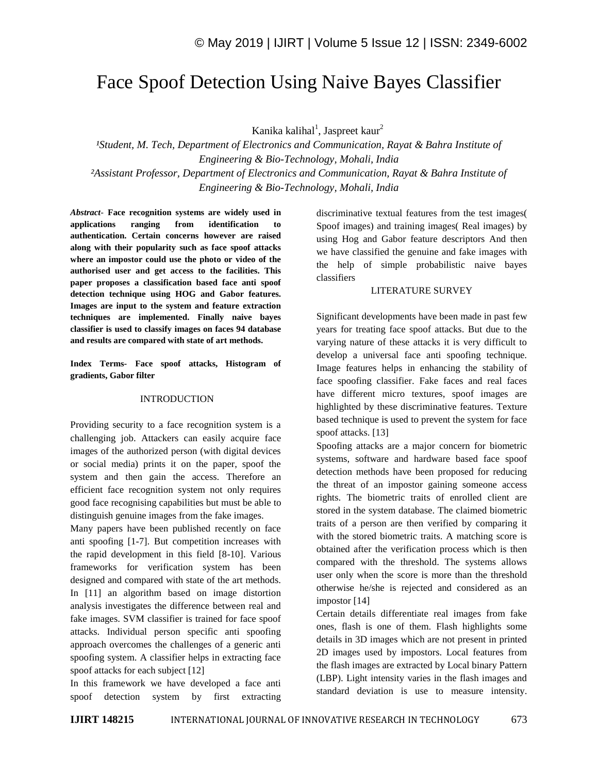# Face Spoof Detection Using Naive Bayes Classifier

Kanika kalihal<sup>1</sup>, Jaspreet kaur<sup>2</sup>

*¹Student, M. Tech, Department of Electronics and Communication, Rayat & Bahra Institute of Engineering & Bio-Technology, Mohali, India ²Assistant Professor, Department of Electronics and Communication, Rayat & Bahra Institute of Engineering & Bio-Technology, Mohali, India*

*Abstract*- **Face recognition systems are widely used in applications ranging from identification to authentication. Certain concerns however are raised along with their popularity such as face spoof attacks where an impostor could use the photo or video of the authorised user and get access to the facilities. This paper proposes a classification based face anti spoof detection technique using HOG and Gabor features. Images are input to the system and feature extraction techniques are implemented. Finally naive bayes classifier is used to classify images on faces 94 database and results are compared with state of art methods.**

**Index Terms- Face spoof attacks, Histogram of gradients, Gabor filter**

## INTRODUCTION

Providing security to a face recognition system is a challenging job. Attackers can easily acquire face images of the authorized person (with digital devices or social media) prints it on the paper, spoof the system and then gain the access. Therefore an efficient face recognition system not only requires good face recognising capabilities but must be able to distinguish genuine images from the fake images.

Many papers have been published recently on face anti spoofing [1-7]. But competition increases with the rapid development in this field [8-10]. Various frameworks for verification system has been designed and compared with state of the art methods. In [11] an algorithm based on image distortion analysis investigates the difference between real and fake images. SVM classifier is trained for face spoof attacks. Individual person specific anti spoofing approach overcomes the challenges of a generic anti spoofing system. A classifier helps in extracting face spoof attacks for each subject [12]

In this framework we have developed a face anti spoof detection system by first extracting discriminative textual features from the test images( Spoof images) and training images( Real images) by using Hog and Gabor feature descriptors And then we have classified the genuine and fake images with the help of simple probabilistic naive bayes classifiers

#### LITERATURE SURVEY

Significant developments have been made in past few years for treating face spoof attacks. But due to the varying nature of these attacks it is very difficult to develop a universal face anti spoofing technique. Image features helps in enhancing the stability of face spoofing classifier. Fake faces and real faces have different micro textures, spoof images are highlighted by these discriminative features. Texture based technique is used to prevent the system for face spoof attacks. [13]

Spoofing attacks are a major concern for biometric systems, software and hardware based face spoof detection methods have been proposed for reducing the threat of an impostor gaining someone access rights. The biometric traits of enrolled client are stored in the system database. The claimed biometric traits of a person are then verified by comparing it with the stored biometric traits. A matching score is obtained after the verification process which is then compared with the threshold. The systems allows user only when the score is more than the threshold otherwise he/she is rejected and considered as an impostor [14]

Certain details differentiate real images from fake ones, flash is one of them. Flash highlights some details in 3D images which are not present in printed 2D images used by impostors. Local features from the flash images are extracted by Local binary Pattern (LBP). Light intensity varies in the flash images and standard deviation is use to measure intensity.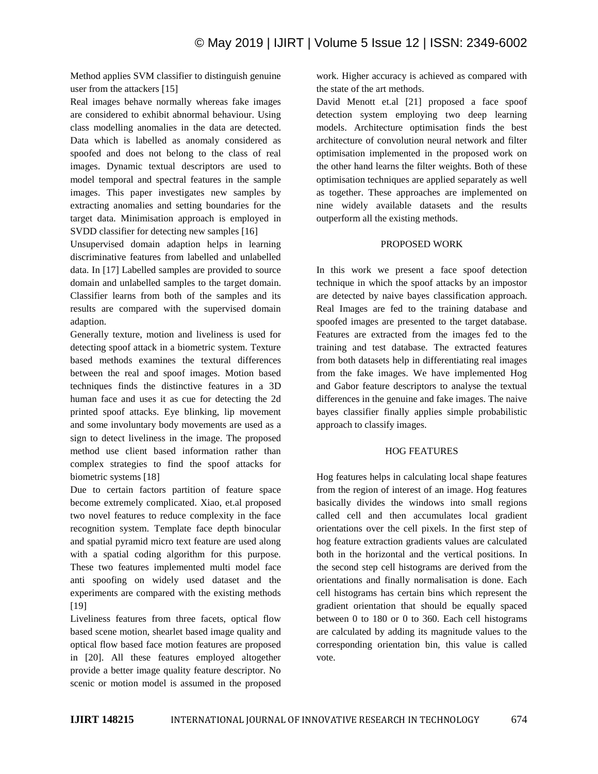Method applies SVM classifier to distinguish genuine user from the attackers [15]

Real images behave normally whereas fake images are considered to exhibit abnormal behaviour. Using class modelling anomalies in the data are detected. Data which is labelled as anomaly considered as spoofed and does not belong to the class of real images. Dynamic textual descriptors are used to model temporal and spectral features in the sample images. This paper investigates new samples by extracting anomalies and setting boundaries for the target data. Minimisation approach is employed in SVDD classifier for detecting new samples [16]

Unsupervised domain adaption helps in learning discriminative features from labelled and unlabelled data. In [17] Labelled samples are provided to source domain and unlabelled samples to the target domain. Classifier learns from both of the samples and its results are compared with the supervised domain adaption.

Generally texture, motion and liveliness is used for detecting spoof attack in a biometric system. Texture based methods examines the textural differences between the real and spoof images. Motion based techniques finds the distinctive features in a 3D human face and uses it as cue for detecting the 2d printed spoof attacks. Eye blinking, lip movement and some involuntary body movements are used as a sign to detect liveliness in the image. The proposed method use client based information rather than complex strategies to find the spoof attacks for biometric systems [18]

Due to certain factors partition of feature space become extremely complicated. Xiao, et.al proposed two novel features to reduce complexity in the face recognition system. Template face depth binocular and spatial pyramid micro text feature are used along with a spatial coding algorithm for this purpose. These two features implemented multi model face anti spoofing on widely used dataset and the experiments are compared with the existing methods [19]

Liveliness features from three facets, optical flow based scene motion, shearlet based image quality and optical flow based face motion features are proposed in [20]. All these features employed altogether provide a better image quality feature descriptor. No scenic or motion model is assumed in the proposed

work. Higher accuracy is achieved as compared with the state of the art methods.

David Menott et.al [21] proposed a face spoof detection system employing two deep learning models. Architecture optimisation finds the best architecture of convolution neural network and filter optimisation implemented in the proposed work on the other hand learns the filter weights. Both of these optimisation techniques are applied separately as well as together. These approaches are implemented on nine widely available datasets and the results outperform all the existing methods.

#### PROPOSED WORK

In this work we present a face spoof detection technique in which the spoof attacks by an impostor are detected by naive bayes classification approach. Real Images are fed to the training database and spoofed images are presented to the target database. Features are extracted from the images fed to the training and test database. The extracted features from both datasets help in differentiating real images from the fake images. We have implemented Hog and Gabor feature descriptors to analyse the textual differences in the genuine and fake images. The naive bayes classifier finally applies simple probabilistic approach to classify images.

# HOG FEATURES

Hog features helps in calculating local shape features from the region of interest of an image. Hog features basically divides the windows into small regions called cell and then accumulates local gradient orientations over the cell pixels. In the first step of hog feature extraction gradients values are calculated both in the horizontal and the vertical positions. In the second step cell histograms are derived from the orientations and finally normalisation is done. Each cell histograms has certain bins which represent the gradient orientation that should be equally spaced between 0 to 180 or 0 to 360. Each cell histograms are calculated by adding its magnitude values to the corresponding orientation bin, this value is called vote.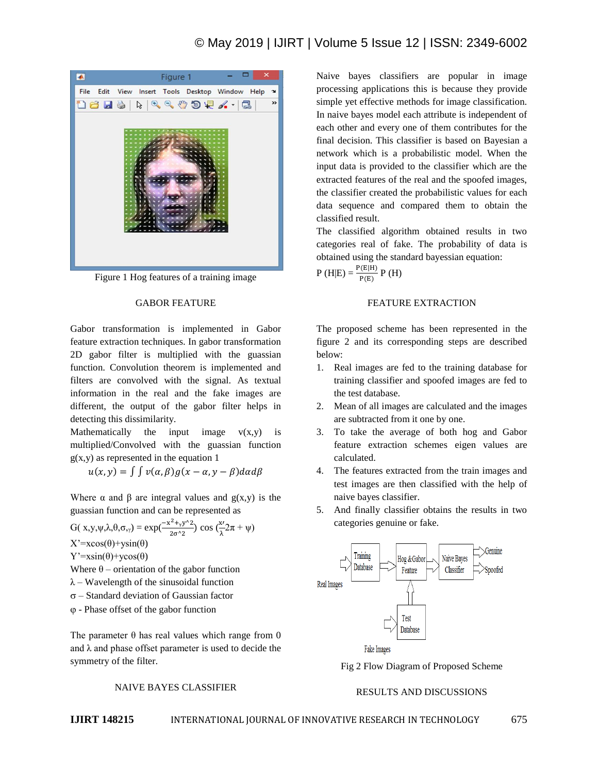

Figure 1 Hog features of a training image

#### GABOR FEATURE

Gabor transformation is implemented in Gabor feature extraction techniques. In gabor transformation 2D gabor filter is multiplied with the guassian function. Convolution theorem is implemented and filters are convolved with the signal. As textual information in the real and the fake images are different, the output of the gabor filter helps in detecting this dissimilarity.

Mathematically the input image  $v(x,y)$  is multiplied/Convolved with the guassian function  $g(x,y)$  as represented in the equation 1

$$
u(x, y) = \int \int v(\alpha, \beta) g(x - \alpha, y - \beta) d\alpha d\beta
$$

Where  $\alpha$  and  $\beta$  are integral values and  $g(x,y)$  is the guassian function and can be represented as

G(
$$
x,y,\psi,\lambda,\theta,\sigma_{,\gamma}
$$
) =  $exp(\frac{-x^2 + y^2}{2\sigma^2})$  cos  $(\frac{x}{\lambda}2\pi + \psi)$   
X' =  $xcos(\theta) + ysin(\theta)$ 

 $Y' = x\sin(\theta) + y\cos(\theta)$ 

Where  $\theta$  – orientation of the gabor function

 $\lambda$  – Wavelength of the sinusoidal function

 $\sigma$  – Standard deviation of Gaussian factor

- Phase offset of the gabor function

The parameter  $\theta$  has real values which range from 0 and  $\lambda$  and phase offset parameter is used to decide the symmetry of the filter.

NAIVE BAYES CLASSIFIER

Naive bayes classifiers are popular in image processing applications this is because they provide simple yet effective methods for image classification. In naive bayes model each attribute is independent of each other and every one of them contributes for the final decision. This classifier is based on Bayesian a network which is a probabilistic model. When the input data is provided to the classifier which are the extracted features of the real and the spoofed images, the classifier created the probabilistic values for each data sequence and compared them to obtain the classified result.

The classified algorithm obtained results in two categories real of fake. The probability of data is obtained using the standard bayessian equation:

 $P(H|E) = \frac{P(E|H)}{P(E)} P(H)$ 

## FEATURE EXTRACTION

The proposed scheme has been represented in the figure 2 and its corresponding steps are described below:

- 1. Real images are fed to the training database for training classifier and spoofed images are fed to the test database.
- 2. Mean of all images are calculated and the images are subtracted from it one by one.
- 3. To take the average of both hog and Gabor feature extraction schemes eigen values are calculated.
- 4. The features extracted from the train images and test images are then classified with the help of naive bayes classifier.
- 5. And finally classifier obtains the results in two categories genuine or fake.



Fig 2 Flow Diagram of Proposed Scheme

# RESULTS AND DISCUSSIONS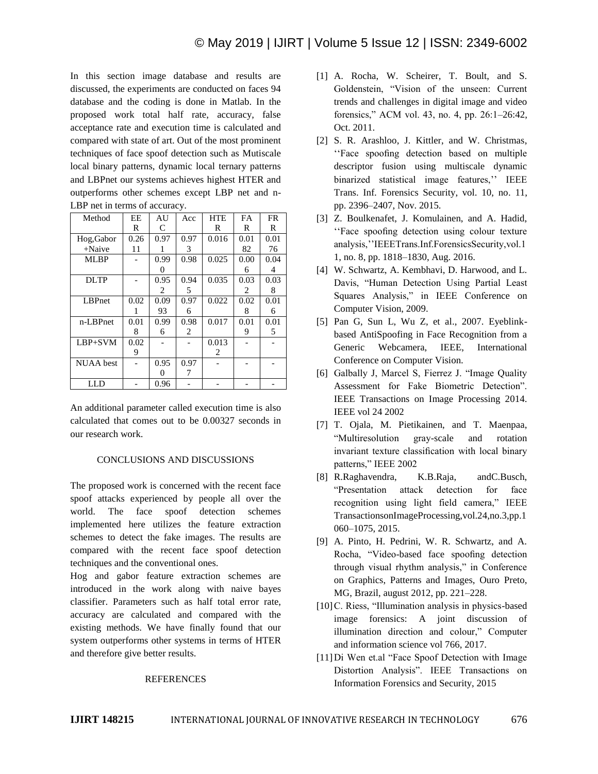In this section image database and results are discussed, the experiments are conducted on faces 94 database and the coding is done in Matlab. In the proposed work total half rate, accuracy, false acceptance rate and execution time is calculated and compared with state of art. Out of the most prominent techniques of face spoof detection such as Mutiscale local binary patterns, dynamic local ternary patterns and LBPnet our systems achieves highest HTER and outperforms other schemes except LBP net and n-LBP net in terms of accuracy.

| Method           | EE   | AU                | Acc  | <b>HTE</b> | FA   | <b>FR</b> |
|------------------|------|-------------------|------|------------|------|-----------|
|                  | R    | C                 |      | R          | R    | R         |
| Hog, Gabor       | 0.26 | 0.97              | 0.97 | 0.016      | 0.01 | 0.01      |
| $+Naive$         | 11   |                   | 3    |            | 82   | 76        |
| <b>MLBP</b>      |      | 0.99              | 0.98 | 0.025      | 0.00 | 0.04      |
|                  |      | $\mathbf{\Omega}$ |      |            | 6    | 4         |
| <b>DLTP</b>      |      | 0.95              | 0.94 | 0.035      | 0.03 | 0.03      |
|                  |      | 2                 | 5    |            | 2    | 8         |
| <b>LBPnet</b>    | 0.02 | 0.09              | 0.97 | 0.022      | 0.02 | 0.01      |
|                  |      | 93                | 6    |            | 8    | 6         |
| n-LBPnet         | 0.01 | 0.99              | 0.98 | 0.017      | 0.01 | 0.01      |
|                  | 8    | 6                 | 2    |            | 9    | 5         |
| $LBP + SVM$      | 0.02 |                   |      | 0.013      |      |           |
|                  | 9    |                   |      | 2          |      |           |
| <b>NUAA</b> best |      | 0.95              | 0.97 |            |      |           |
|                  |      | $\mathbf{\Omega}$ | 7    |            |      |           |
| LLD              |      | 0.96              |      |            |      |           |

An additional parameter called execution time is also calculated that comes out to be 0.00327 seconds in our research work.

# CONCLUSIONS AND DISCUSSIONS

The proposed work is concerned with the recent face spoof attacks experienced by people all over the world. The face spoof detection schemes implemented here utilizes the feature extraction schemes to detect the fake images. The results are compared with the recent face spoof detection techniques and the conventional ones.

Hog and gabor feature extraction schemes are introduced in the work along with naive bayes classifier. Parameters such as half total error rate, accuracy are calculated and compared with the existing methods. We have finally found that our system outperforms other systems in terms of HTER and therefore give better results.

#### **REFERENCES**

- [1] A. Rocha, W. Scheirer, T. Boult, and S. Goldenstein, "Vision of the unseen: Current trends and challenges in digital image and video forensics," ACM vol. 43, no. 4, pp. 26:1–26:42, Oct. 2011.
- [2] S. R. Arashloo, J. Kittler, and W. Christmas, "Face spoofing detection based on multiple descriptor fusion using multiscale dynamic binarized statistical image features," IEEE Trans. Inf. Forensics Security, vol. 10, no. 11, pp. 2396–2407, Nov. 2015.
- [3] Z. Boulkenafet, J. Komulainen, and A. Hadid, "Face spoofing detection using colour texture analysis,""IEEETrans.Inf.ForensicsSecurity,vol.1 1, no. 8, pp. 1818–1830, Aug. 2016.
- [4] W. Schwartz, A. Kembhavi, D. Harwood, and L. Davis, "Human Detection Using Partial Least Squares Analysis," in IEEE Conference on Computer Vision, 2009.
- [5] Pan G, Sun L, Wu Z, et al., 2007. Eyeblinkbased AntiSpoofing in Face Recognition from a Generic Webcamera, IEEE, International Conference on Computer Vision.
- [6] Galbally J, Marcel S, Fierrez J. "Image Quality Assessment for Fake Biometric Detection". IEEE Transactions on Image Processing 2014. IEEE vol 24 2002
- [7] T. Ojala, M. Pietikainen, and T. Maenpaa, "Multiresolution gray-scale and rotation invariant texture classification with local binary patterns," IEEE 2002
- [8] R.Raghavendra, K.B.Raja, andC.Busch, "Presentation attack detection for face recognition using light field camera," IEEE TransactionsonImageProcessing,vol.24,no.3,pp.1 060–1075, 2015.
- [9] A. Pinto, H. Pedrini, W. R. Schwartz, and A. Rocha, "Video-based face spoofing detection through visual rhythm analysis," in Conference on Graphics, Patterns and Images, Ouro Preto, MG, Brazil, august 2012, pp. 221–228.
- [10] C. Riess, "Illumination analysis in physics-based image forensics: A joint discussion of illumination direction and colour," Computer and information science vol 766, 2017.
- [11]Di Wen et.al "Face Spoof Detection with Image Distortion Analysis". IEEE Transactions on Information Forensics and Security, 2015